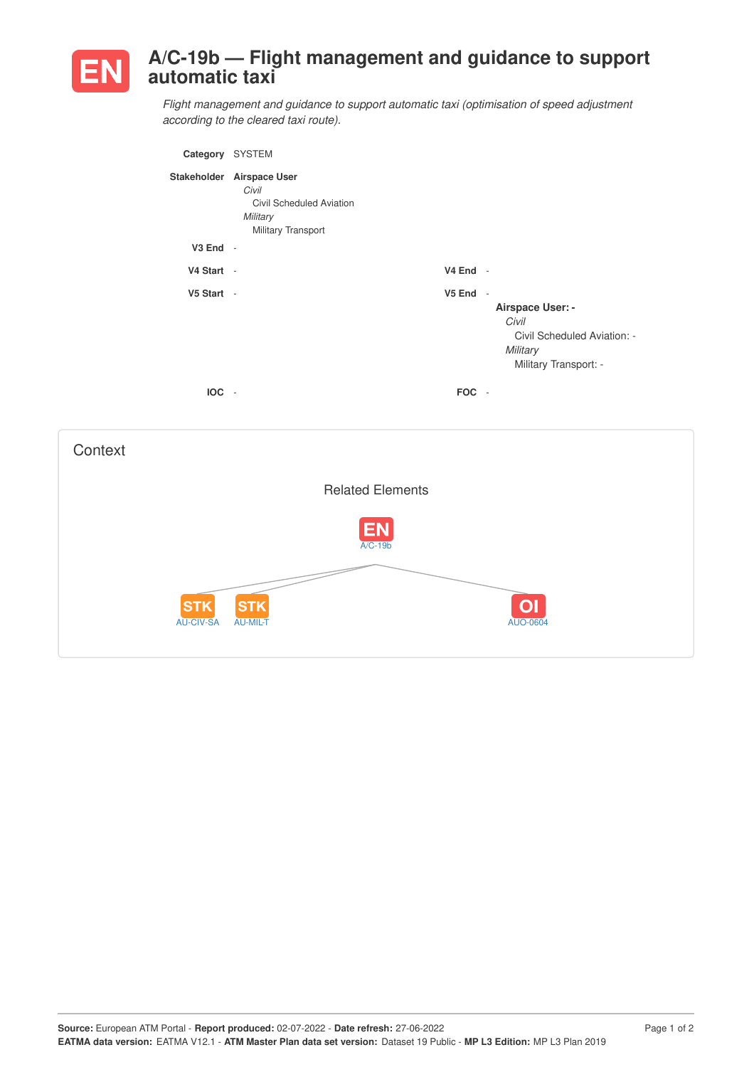

## **A/C-19b — Flight management and guidance to support automatic taxi**

*Flight management and guidance to support automatic taxi (optimisation of speed adjustment according to the cleared taxi route).*